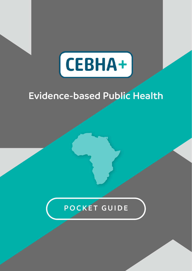

# **Evidence-based Public Health**

### **POCKET GUIDE**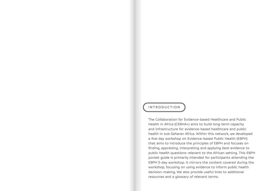### **INT RODUCTIO N**

The Collaboration for Evidence-based Healthcare and Public Health in Africa (CEBHA+) aims to build long-term capacity and infrastructure for evidence-based healthcare and public health in sub-Saharan Africa. Within this network, we developed a five-day workshop on Evidence-based Public Health (EBPH) that aims to introduce the principles of EBPH and focuses on finding, appraising, interpreting and applying best evidence to public health questions relevant to the African setting. This EBPH pocket guide is primarily intended for participants attending the EBPH 5-day workshop. It mirrors the content covered during the workshop, focusing on using evidence to inform public health decision-making. We also provide useful links to additional resources and a glossary of relevant terms.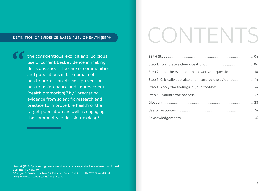#### **Definition of Evidence-based public health (EBPH)**

**the conscientious, explicit and judicious** use of current best evidence in making decisions about the care of communities and populations in the domain of health protection, disease prevention, health maintenance and improvement (health promotion)"<sup>1</sup> by "integrating evidence from scientific research and practice to improve the health of the target population", as well as engaging the community in decision-making<sup>2</sup>.

# CONTENTS

| Step 2: Find the evidence to answer your question 10      |
|-----------------------------------------------------------|
| Step 3: Critically appraise and interpret the evidence 14 |
|                                                           |
|                                                           |
|                                                           |
|                                                           |
|                                                           |

<sup>&</sup>lt;sup>1</sup> Jenicek (1997). Epidemiology, evidenced-based medicine, and evidence-based public health. J Epidemiol 7(4):187-97

<sup>2</sup> Vanagas G, Bala M, Lhachimi SK. Evidence-Based Public Health 2017. Biomed Res Int. 2017;2017:2607397. doi:10.1155/2017/2607397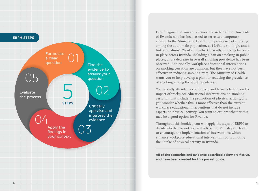

Let's imagine that you are a senior researcher at the University of Rwanda who has been asked to serve as a temporary advisor to the Ministry of Health. The prevalence of smoking among the adult male population, at 12.4%, is still high, and is linked to almost 3% of all deaths. Currently, smoking bans are in place across Rwanda, including a ban on smoking in public places, and a decrease in overall smoking prevalence has been observed. Additionally, workplace educational interventions on smoking cessation are common, but they have not been effective in reducing smoking rates. The Ministry of Health wants you to help develop a plan for reducing the prevalence of smoking among the adult population.

You recently attended a conference, and heard a lecture on the impact of workplace educational interventions on smoking cessation that include the promotion of physical activity, and you wonder whether this is more effective than the current workplace educational interventions that do not include aspects on physical activity. You want to explore whether this may be a good option for Rwanda.

Throughout this booklet, you will apply the steps of EBPH to decide whether or not you will advise the Ministry of Health to encourage the implementation of interventions which enhance workplace educational interventions by promoting the uptake of physical activity in Rwanda.

**All of the scenarios and evidence described below are fictive, and have been created for this pocket guide.**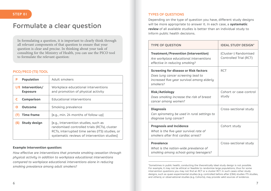### **Formulate a clear question**

In formulating a question, it is important to clearly think through all relevant components of that question to ensure that your question is clear and precise. In thinking about your task of consulting for the Ministry of Health, you can use the PICO tool to formulate the relevant question:

### **PICO/PECO (TS) tool**

| Population<br>Р                      | Adult smokers                                                                                                                                                                          |  |  |
|--------------------------------------|----------------------------------------------------------------------------------------------------------------------------------------------------------------------------------------|--|--|
| I/E Intervention/<br><b>Exposure</b> | Workplace educational interventions<br>and promotion of physical activity                                                                                                              |  |  |
| Comparison                           | Educational interventions                                                                                                                                                              |  |  |
| Outcome                              | Smoking prevalence                                                                                                                                                                     |  |  |
| <b>Time frame</b>                    | [e.g., min. 24 months of follow-up]                                                                                                                                                    |  |  |
| Study design                         | [e.g., Intervention studies, such as<br>randomised controlled trials (RCTs), cluster<br>RCTs, interrupted time series (ITS) studies, or<br>systematic reviews of intervention studies] |  |  |

#### **Example intervention question:**

*How effective are interventions that promote smoking cessation through physical activity in addition to workplace educational interventions compared to workplace educational interventions alone in reducing smoking prevalence among adult smokers?*

### **STEP 01 TYPES OF QUESTIONS**

Depending on the type of question you have, different study designs will be more appropriate to answer it. In each case, a **systematic review** of all available studies is better than an individual study to inform public health decisions.

| <b>TYPE OF QUESTION</b>                                                                                                               | <b>IDEAL STUDY DESIGN*</b>                      |
|---------------------------------------------------------------------------------------------------------------------------------------|-------------------------------------------------|
| Treatment/Prevention (intervention)<br>Are workplace educational interventions<br>effective in reducing smoking?                      | (Cluster-) Randomised<br>Controlled Trial (RCT) |
| Screening for disease or Risk factors<br>Does lung cancer screening lead to<br>increased five-year survival among elderly<br>smokers? | <b>RCT</b>                                      |
| <b>Risk/Aetiology</b><br>Does smoking increase the risk of breast<br>cancer among women?                                              | Cohort or case-control<br>study                 |
| <b>Diagnosis</b><br>Can spirometry be used in rural settings to<br>diagnose lung cancer?                                              | Cross-sectional study                           |
| <b>Prognosis and Incidence</b><br>What is the five-year survival rate of<br>smokers after first cardiac arrest?                       | Cohort study                                    |
| Prevalence<br>What is the nation-wide prevalence of<br>smoking among school-going teenagers?                                          | Cross-sectional study                           |

<sup>\*</sup>Sometimes in public health, conducting the theoretically ideal study design is not possible. For example, it may not be ethical or feasible to randomize large populations, thus for some intervention questions you may not find an RCT or a cluster RCT. In such cases other study designs, such as quasi-experimental studies (e.g. controlled before-after (CBA) studies ITS studies, and others), or observational studies (e.g. Cohorts), may provide valid sources of evidence.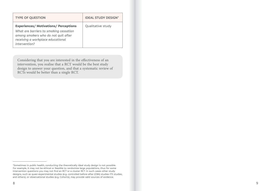| <b>TYPE OF QUESTION</b>                                                                                                                                                           | <b>IDEAL STUDY DESIGN*</b> |
|-----------------------------------------------------------------------------------------------------------------------------------------------------------------------------------|----------------------------|
| <b>Experiences/Motivations/Perceptions</b><br>What are barriers to smoking cessation<br>among smokers who do not quit after<br>receiving a workplace educational<br>intervention? | Qualitative study          |

Considering that you are interested in the effectiveness of an intervention, you realise that a RCT would be the best study design to answer your question, and that a systematic review of RCTs would be better than a single RCT.

<sup>\*</sup>Sometimes in public health, conducting the theoretically ideal study design is not possible. For example, it may not be ethical or feasible to randomize large populations, thus for some intervention questions you may not find an RCT or a cluster RCT. In such cases other study designs, such as quasi-experimental studies (e.g. controlled before-after (CBA) studies ITS studies, and others), or observational studies (e.g. Cohorts), may provide valid sources of evidence.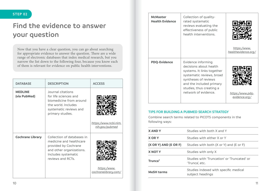### **STEP 02**

## **Find the evidence to answer your question**

Now that you have a clear question, you can go about searching for appropriate evidence to answer the question. There are a wide range of electronic databases that index medical research, but you narrow the list down to the following four, because you know each of them is relevant for evidence on public health interventions.

| <b>DATABASE</b>                | <b>DESCRIPTION</b>                                                                                                                                    | <b>ACCESS</b>                          |
|--------------------------------|-------------------------------------------------------------------------------------------------------------------------------------------------------|----------------------------------------|
| <b>MEDLINE</b><br>(via PubMed) | Journal citations<br>for life sciences and<br>biomedicine from around<br>the world, Includes<br>systematic reviews and<br>primary studies.            | https:/www.ncbi.nlm.<br>nih.gov/pubmed |
| <b>Cochrane Library</b>        | Collection of databases in<br>medicine and healthcare<br>provided by Cochrane<br>and other organizations.<br>Includes systematic<br>reviews and RCTs. | https:/www.<br>cochranelibrary.com/    |

| <b>McMaster</b><br><b>Health Evidence</b> | Collection of quality-<br>rated systematic<br>reviews evaluating the<br>effectiveness of public<br>health interventions.                                                                                        | https:/www.<br>healthevidence.org/ |
|-------------------------------------------|-----------------------------------------------------------------------------------------------------------------------------------------------------------------------------------------------------------------|------------------------------------|
| <b>PDQ-Evidence</b>                       | Evidence informing<br>decisions about health<br>systems. It links together<br>systematic reviews, broad<br>syntheses of reviews<br>and the included primary<br>studies, thus creating a<br>network of evidence. | https:/www.pdg-<br>evidence.org/   |

### **Tips for building a PubMed search strategy**

Combine search terms related to PICOTS components in the following ways:

| <b>XANDY</b>          | Studies with both X and Y                                     |  |
|-----------------------|---------------------------------------------------------------|--|
| <b>X OR Y</b>         | Studies with either X or Y                                    |  |
| (X OR Y) AND (E OR F) | Studies with both (X or Y) and (E or F)                       |  |
| <b>X NOT Y</b>        | Studies with only X                                           |  |
| Trunca*               | Studies with 'Truncation' or 'Truncated' or<br>'Trunca', etc. |  |
| <b>MeSH</b> terms     | Studies indexed with specific medical<br>subject headings     |  |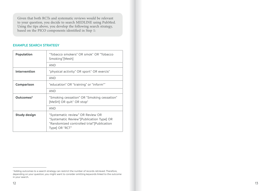Given that both RCTs and systematic reviews would be relevant to your question, you decide to search MEDLINE using PubMed. Using the tips above, you develop the following search strategy, based on the PICO components identified in Step 1:

#### **Example search strategy**

| Population            | "Tobacco smokers" OR smok* OR "Tobacco<br>Smoking"[Mesh]                                                                                     |  |
|-----------------------|----------------------------------------------------------------------------------------------------------------------------------------------|--|
|                       | <b>AND</b>                                                                                                                                   |  |
| Intervention          | "physical activity" OR sport* OR exercis*                                                                                                    |  |
|                       | <b>AND</b>                                                                                                                                   |  |
| Comparison            | "education" OR "training" or "inform*"                                                                                                       |  |
|                       | <b>AND</b>                                                                                                                                   |  |
| Outcomes <sup>3</sup> | "Smoking cessation" OR "Smoking cessation"<br>[MeSH] OR quit" OR stop"                                                                       |  |
|                       | <b>AND</b>                                                                                                                                   |  |
| Study design          | "Systematic review" OR Review OR<br>"Systematic Review" [Publication Type] OR<br>"Randomized controlled trial"[Publication<br>Typel OR "RCT" |  |

<sup>&</sup>lt;sup>3</sup> Adding outcomes to a search strategy can restrict the number of records retrieved. Therefore, depending on your question, you might want to consider omitting keywords linked to the outcome in your search.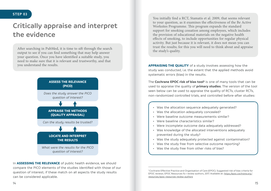# **Critically appraise and interpret the evidence**

After searching in PubMed, it is time to sift through the search output to see if you can find something that may help answer your question. Once you have identified a suitable study, you need to make sure that it is relevant and trustworthy, and that you understand the results.



In **assessing the relevance** of public health evidence, we should compare the PICO elements of the studies identified with those of our question of interest; if these match on all aspects the study results can be considered applicable.

You initially find a RCT, Stamatis et al. 2009, that seems relevant to your question, as it examines the effectiveness of the Be Active Worksites Programme. This program expands the standard support for smoking cessation among employees, which includes the provision of educational materials on the negative health effects of smoking, to include opportunities for regular physical activity. But just because it is relevant, it does not mean you can trust the results; for this you will need to think about and appraise the study's quality.

**Appraising the quality** of a study involves assessing how the study was conducted, i.e. the extent that the applied methods avoid systematic errors (bias) in the results.

The **Cochrane EPOC risk of bias tool**<sup>4</sup> is one of many tools that can be used to appraise the quality of **primary studies**. The version of the tool seen below can be used to appraise the quality of RCTs, cluster RCTs, non-randomized controlled trials, and controlled before-after studies:

- Was the allocation sequence adequately generated?
- Was the allocation adequately concealed?
- Were baseline outcome measurements similar?
- Were baseline characteristics similar?
- Were incomplete outcome data adequately addressed?
- Was knowledge of the allocated interventions adequately prevented during the study?
- Was the study adequately protected against contamination?
- Was the study free from selective outcome reporting?
- Was the study free from other risks of bias?

<sup>4</sup>Cochrane Effective Practice and Organisation of Care (EPOC). Suggested risk of bias criteria for EPOC reviews. EPOC Resources fo r review authors, 2017. Available at: *[https:/epoc.cochrane.org/](https://epoc.cochrane.org/resources/epoc-resources-review-authors) [resources/epoc-resources-review-authors](https://epoc.cochrane.org/resources/epoc-resources-review-authors)*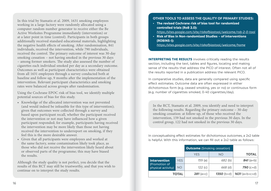In this trial by Stamatis et al. 2009, 1631 smoking employees working in a large factory were randomly allocated using a computer random number generator to receive either the Be Active Worksites Programme immediately (intervention) or at a later point in time (control). Participants in both groups additionally received standard educational materials, highlighting the negative health effects of smoking. After randomisation, 841 individuals, received the intervention, while 790 individuals, received the control. The primary outcome of interest was 30-day smoking cessation – not having smoked in the previous 30 days – among former smokers. The study also assessed the number of cigarettes each individual smoked per day as a secondary outcome. Outcomes as well as participant characteristics were obtained from all 1631 employees through a survey conducted both at baseline and follow-up, 9 months after the implementation of the intervention. Relevant participant characteristics and smoking rates were balanced across groups after randomisation.

Using the Cochrane EPOC risk of bias tool, we identify multiple potential sources of bias for this study.

- • Knowledge of the allocated intervention was not prevented (and would indeed be infeasible for this type of intervention); given that outcomes were collected through a survey and based upon participant recall, whether the participant received the intervention or not may have influenced how a given participant responded; for example, participants having received the intervention may be more likely than those not having received the intervention to underreport on smoking, if they feel this is the more desirable answer.
- • Given that all participants were employees and worked at the same factory, some contamination likely took place, as those who did not receive the intervention likely heard about or observed parts of the programme; this may have biased the results.

Although the study quality is not perfect, you decide that the results of this RCT may still be trustworthy, and that you wish to continue on to interpret the study results.

#### **Other tools to assess the quality of primary studies:**

- **• The revised Cochrane risk of bias tool for randomized controlled trials (RoB 2.0):** 
	- *[https:/sites.google.com/site/riskofbiastool/welcome/rob](https://sites.google.com/site/riskofbiastool/welcome/rob-2-0-tool%20%20)-2-0-tool*
- **• Risk of Bias in Non-randomized Studies of interventions (ROBINS-I):**

*[https:/sites.google.com/site/riskofbiastool/welcome/home](https://sites.google.com/site/riskofbiastool/welcome/home)*

**INTERPRETING THE RESULTS** involves critically reading the results section, including the text, tables and figures, locating and making sense of the results that address the PICO of interest. Often not all of the results reported in a publication address the relevant PICO.

In comparative studies, data are generally compared using specific effect estimates. Outcome data are often expressed in either dichotomous form (e.g. ceased smoking, yes or no) or continuous form (e.g. number of cigarettes smoked, 0-40 cigarettes/day).

In the RCT, Stamatis et al. 2009, you identify and need to interpret the following results. Regarding the primary outcome – 30-day smoking cessation: at follow-up, of those who received the intervention, 159 had not smoked in the previous 30 days. In the control group, 122 had not smoked in the previous 30 days.

In conceptualising effect estimates for dichotomous outcomes, a 2x2 table is helpful. With this information, we can fill out a 2x2 table as follows:

|                                     |            | <b>Outcome</b> (Smoking cessation) |             |                  |
|-------------------------------------|------------|------------------------------------|-------------|------------------|
|                                     |            | <b>YES</b>                         | <b>NO</b>   | <b>TOTAL</b>     |
| Intervention                        | <b>YES</b> | 159 (a)                            | 682(b)      | $841(a+b)$       |
| (Promotion of<br>physical activity) | <b>NO</b>  | 122(c)                             | 668 (d)     | $790$ (c+d)      |
|                                     | TOTAL      | $281(a+c)$                         | $1350(b+d)$ | $1631 (a+b+c+d)$ |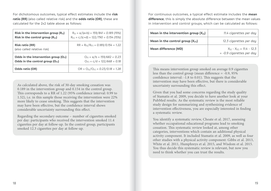For dichotomous outcomes, typical effect estimates include the **risk ratio (RR)** (also called relative risk) and the **odds ratio (OR)**, these are calculated for the 2x2 table above as follows:

| Risk in the intervention group $(R_{01})$             | $R_{III} = a/(a+b) = 159/841 = 0.189$ (19%)      |
|-------------------------------------------------------|--------------------------------------------------|
| Risk in the control group $(R_{[c]})$                 | $R_{\text{IC}} = c/(c+d) = 122/790 = 0.154(15%)$ |
| <b>Risk ratio (RR)</b><br>(also called relative risk) | $RR = R_{II}/R_{IC1} = 0.189/0.154 = 1.22$       |
| Odds in the intervention group $(O_{11})$             | $Q_{\text{III}} = a/b = 159/682 = 0.23$          |
| Odds in the control group $(O_{\text{rel}})$          | $Q_{\text{IC1}} = c/d = 122/668 = 0.18$          |
| Odds ratio (OR)                                       | $OR = O_{III}/O_{IC1} = 0.23/0.18 = 1.28$        |

As calculated above, the risk of 30-day smoking cessation was 0.189 in the intervention group and 0.154 in the control group. This corresponds to a RR of 1.22 (95% confidence interval: 0.99 to 1.52), i.e. in this sample those receiving the intervention were 22% more likely to cease smoking. This suggests that the intervention may have been effective, but the confidence interval shows considerable uncertainty surrounding this effect.

Regarding the secondary outcome – number of cigarettes smoked per day: participants who received the intervention smoked 11.4 cigarettes per day at follow-up. In the control group, participants smoked 12.3 cigarettes per day at follow-up.

For continuous outcomes, a typical effect estimate includes the **mean difference**; this is simply the absolute difference between the mean values in intervention and control groups, which can be calculated as follows:

| Mean in the intervention group $(X_{[1]})$ | 11.4 cigarettes per day                                                        |
|--------------------------------------------|--------------------------------------------------------------------------------|
| Mean in the control group $(X_{[C]})$      | 12.3 cigarettes per day                                                        |
| Mean difference (MD)                       | $X_{\text{fil}} - X_{\text{ICI}} = 11.4 - 12.3$<br>$= -0.9$ cigarettes per day |

This means intervention group smoked on average 0.9 cigarettes less than the control group (mean difference = -0.9, 95% confidence interval: -1.8 to 0.01). This suggests that the intervention may have been effective, but there is considerable uncertainty surrounding this effect.

Given that you had some concerns regarding the study quality of Stamatis et al. 2009, you decide to have another look at your PubMed results. As the systematic review is the most reliable study design for summarizing and synthesizing evidence of intervention effectiveness, you are especially interested in finding a systematic review.

You identify a systematic review, Choate et al. 2017, assessing whether occupational educational programs lead to smoking cessation. This systematic review looked at, among other categories, interventions which contain an additional physical activity component. It included Stamatis et al. 2009, as well as four other studies with a physical activity component: Gibbs et al. 2013, White et al. 2011, Humphreys et al. 2015, and Wisdom et al. 2015. You thus decide this systematic review is relevant, but now you need to think whether you can trust the results.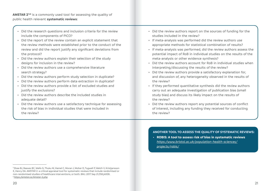**AMSTAR 2<sup>5,6</sup>** is a commonly used tool for assessing the quality of public health relevant **systematic reviews**:

- Did the research questions and inclusion criteria for the review include the components of PICO?
- Did the report of the review contain an explicit statement that the review methods were established prior to the conduct of the review and did the report justify any significant deviations from the protocol?
- Did the review authors explain their selection of the study designs for inclusion in the review?
- Did the review authors use a comprehensive literature search strategy?
- Did the review authors perform study selection in duplicate?
- Did the review authors perform data extraction in duplicate?
- Did the review authors provide a list of excluded studies and justify the exclusions?
- Did the review authors describe the included studies in adequate detail?
- Did the review authors use a satisfactory technique for assessing the risk of bias in individual studies that were included in the review?
- Did the review authors report on the sources of funding for the studies included in the review?
- If meta-analysis was performed did the review authors use appropriate methods for statistical combination of results?
- If meta-analysis was performed, did the review authors assess the potential impact of RoB in individual studies on the results of the meta-analysis or other evidence synthesis?
- Did the review authors account for RoB in individual studies when interpreting/discussing the results of the review?
- Did the review authors provide a satisfactory explanation for, and discussion of, any heterogeneity observed in the results of the review?
- If they performed quantitative synthesis did the review authors carry out an adequate investigation of publication bias (small study bias) and discuss its likely impact on the results of the review?
- Did the review authors report any potential sources of conflict of interest, including any funding they received for conducting the review?

**Another tool to assess the quality of systematic reviews:** 

• **ROBIS: A tool to assess risk of bias in systematic reviews**  *[https:/www.bristol.ac.uk/population-health-sciences/](https://www.bristol.ac.uk/population-health-sciences/projects/robis/) [projects/robis/](https://www.bristol.ac.uk/population-health-sciences/projects/robis/)*

<sup>5</sup> Shea BJ, Reeves BC, Wells G, Thuku M, Hamel C, Moran J, Moher D, Tugwell P, Welch V, Kristjansson E, Henry DA. AMSTAR 2: a critical appraisal tool for systematic reviews that include randomised or non-randomised studies of healthcare interventions, or both. BMJ. 2017 Sep 21;358:j4008. <sup>6</sup>*[https:/amstar.ca/Amstar-2.php](https://amstar.ca/Amstar-2.php)*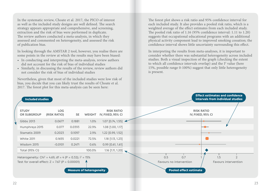In the systematic review, Choate et al. 2017, the PICO of interest as well as the included study designs are well defined. The search strategy appears appropriate and comprehensive, and screening, extraction and the risk of bias were performed in duplicate. The review authors conducted a meta-analysis, in which they assessed and commented on heterogeneity, and assessed the risk of publication bias.

In looking through the AMSTAR 2 tool, however, you realise there are some points in the review at which the results may have been biased:

- In conducting and interpreting the meta-analysis, review authors did not account for the risk of bias of individual studies
- Similarly, in discussing the results of the review, review authors did not consider the risk of bias of individual studies

Nevertheless, given that most of the included studies were low risk of bias, you decide that you can likely trust the results of Choate et al. 2017. The forest plot for this meta-analysis can be seen here:

The forest plot shows a risk ratio and 95% confidence interval for each included study. It also provides a pooled risk ratio, which is a weighted average of the effect estimates from each included study. The pooled risk ratio of 1.16 (95% confidence interval: 1.11 to 1.20) suggests that occupational educational programs with an additional physical activity component lead to improved smoking cessation; the confidence interval shows little uncertainty surrounding this effect.

In interpreting the results from meta-analyses, it is important to consider whether there was substantial heterogeneity across included studies. Both a visual inspection of the graph (checking the extent to which all confidence intervals overlap) and the  $I<sup>2</sup>$  value (here 15%, possible range 0-100%) suggest that only little heterogeneity is present.

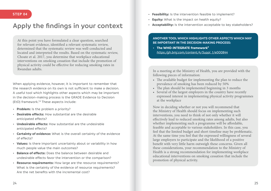### **Apply the findings in your context**

At this point you have formulated a clear question, searched for relevant evidence, identified a relevant systematic review, determined that the systematic review was well-conducted and located and interpreted the results. Based on the systematic review, Choate et al. 2017, you determine that workplace educational interventions on smoking cessation that include the promotion of physical activity could be effective for reducing smoking rates in

When applying evidence, however, it is important to remember that the research evidence on its own is not sufficient to make a decision. A useful tool which highlights other aspects which may be important in the decision-making process is the GRADE Evidence to Decision (EtD) framework.7,8 These aspects include:

- **Problem:** Is the problem a priority?
- **Desirable effects:** How substantial are the desirable anticipated effects?
- **Undesirable effects:** How substantial are the undesirable anticipated effects?
- **Certainty of evidence:** What is the overall certainty of the evidence of effects?
- **Values:** Is there important uncertainty about or variability in how much people value the main outcomes?
- **Balance of effects:** Does the balance between desirable and undesirable effects favor the intervention or the comparison?
- **Resource requirements:** How large are the resource requirements? What is the certainty of the evidence of resource requirements? Are the net benefits with the incremental cost?
- **Feasibility:** Is the intervention feasible to implement?
- **Equity:** What is the impact on health equity?
- **Acceptability:** Is the intervention acceptable to key stakeholders?

#### **Another tool which highlights other aspects which may be important in the decision-making process:**

• **The WHO-INTEGRATE framework9** *[https:/gh.bmj.com/content/4/Suppl](https://gh.bmj.com/content/4/Suppl_1/e000844)\_1/e000844*

In a meeting at the Ministry of Health, you are provided with the following pieces of information:

- The available budget for implementing the plan to reduce the prevalence of smoking has been reduced by 50%
- The plan should be implemented beginning in 3 months
- Several of the largest employers in the country have recently expressed interest in implementing physical activity programmes at the workplace

Now in deciding whether or not you will recommend that the Ministry of Health should focus on implementing such interventions, you need to think of not only whether it will effectively lead to reduced smoking rates among adults, but also whether implementing such a programme will be affordable, feasible and acceptable to various stakeholders. In this case, you feel that the limited budget and short timeline may be problematic. At the same time you feel that the expressed willingness of several large employers to participate and the likelihood of a positive benefit with very little harm outweigh these concerns. Given all these considerations, your recommendation to the Ministry of Health is a strong recommendation for implementing workplace educational interventions on smoking cessation that include the promotion of physical activity.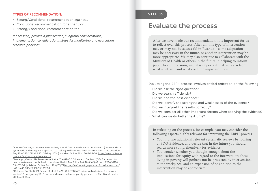#### **Types of recommendation:**

- Strong/Conditional recommendation against …
- Conditional recommendation for either … or …
- Strong/Conditional recommendation for …

*If necessary provide a justification, subgroup considerations, implementation considerations, steps for monitoring and evaluation, research priorities.*

### **Evaluate the process**

After we have made our recommendation, it is important for us to reflect over this process. After all, this type of intervention may or may not be successful in Rwanda – some adaptation may be necessary in the future, or another intervention may be more appropriate. We may also continue to collaborate with the Ministry of Health or others in the future in helping to inform public health decisions, and it is important that we learn from what went well and what could be improved upon.

Evaluating the EBPH process involves critical reflection on the following:

- Did we ask the right question?
- Did we search efficiently?
- Did we find the best evidence?
- Did we identify the strengths and weaknesses of the evidence?
- Did we interpret the results correctly?
- Did we consider all other important factors when applying the evidence?
- What can we do better next time?

In reflecting on the process, for example, you may consider the following aspects highly relevant for improving the EBPH process:

- You find two additional relevant systematic reviews by looking at PDQ-Evidence, and decide that in the future you should search more comprehensively for evidence
- You wonder whether you thought enough about the implications for equity with regard to the intervention; those living in poverty will perhaps not be protected by interventions at the workplace, and an expansion of or addition to the intervention may be appropriate

<sup>7</sup> Alonso-Coello P, Schunemann HJ, Moberg J, et al. GRADE Evidence to Decision (EtD) frameworks: a systematic and transparent approach to making well informed healthcare choices. 1: Introduction. Bmj 2016;353:i2016. doi: 10.1136/bmj.i2016 [published Online First: 2016/06/30] *[https:/www.bmj.com/](https://www.bmj.com/content/bmj/353/bmj.i2016.full.pdf) [content/bmj/353/bmj.i2016.full.pdf](https://www.bmj.com/content/bmj/353/bmj.i2016.full.pdf)*

<sup>8</sup> Moberg J, Oxman AD, Rosenbaum S, et al. The GRADE Evidence to Decision (EtD) framework for health system and public health decisions. Health Res Policy Syst 2018;16(1):45. doi: 10.1186/s12961- 018-0320-2 [published Online First: 2018/05/31] *[https:/health-policy-systems.biomedcentral.com/](https://health-policy-systems.biomedcentral.com/articles/10.1186/s12961-018-0320-2) [articles/10.1186/s12961-018-0320-2](https://health-policy-systems.biomedcentral.com/articles/10.1186/s12961-018-0320-2)*

<sup>9</sup> Rehfuess EA, Stratil JM, Scheel IB, et al. The WHO-INTEGRATE evidence to decision framework version 1.0: integrating WHO norms and values and a complexity perspective. BMJ Global Health 2019;4:e000844.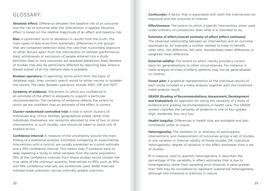### GLOSSARY:

**Absolute effect:** Difference between the baseline risk of an outcome and the risk of outcome after the intervention is applied. Absolute effect is based on the relative magnitude of an effect and baseline risk.

**Bias:** A systematic error or deviation in results from the truth. The main types of bias arise from systematic differences in the groups that are compared (selection bias), the care that is provided, exposure to other factors apart from the intervention of interest (performance bias), withdrawals or exclusions of people entered into a study (attrition bias) or how outcomes are assessed (detection bias). Reviews of studies may also be particularly affected by reporting bias, where a biased subset of all the relevant data is available.

**Boolean operators:** In searching, terms which form the basis of database logic; they connect search words to either narrow or broaden the results. The basic Boolean operators include 'AND', 'OR' and 'NOT'.

**Certainty of evidence:** The extent to which our confidence in an estimate of the effect is adequate to support a particular recommendation. The certainty of evidence reflects the extent to which we are confident that an estimate of the effect is correct.

**Cluster-randomised controlled trial:** A trial in which clusters of individuals (e.g. clinics, families, geographical areas), rather than individuals themselves, are randomly allocated to one of two or more interventions. In such studies, care should be taken to avoid unit of analysis errors.

**Confidence interval:** A measure of the uncertainty around the main finding of a statistical analysis. Estimates comparing an experimental intervention with a control, are usually presented as a point estimate and a 95% confidence interval. This means that if someone were to keep repeating a study in other samples from the same population, 95% of the confidence intervals from those studies would contain the true value of the unknown quantity. Alternatives to 95%, such as 90% and 99% confidence intervals, are sometimes used. Wider intervals indicate lower precision; narrow intervals, greater precision.

**Confounder:** A factor that is associated with both the intervention (or exposure) and the outcome of interest.

**Effectiveness:** The extent to which a specific intervention, when used under ordinary circumstances, does what it is intended to do.

**Estimate of effect/overall estimate of effect (effect estimate):**

The observed relationship between an intervention and an outcome expressed as, for example, a number needed to treat to benefit, odds ratio, risk difference, risk ratio, standardised mean difference, or weighted mean difference.

**External validity:** The extent to which results provide a correct basis for generalisations to other circumstances. For instance, a meta-analysis of trials of elderly patients may not be generalisable to children.

**Forest plot:** A graphical representation of the individual results of each study included in a meta-analysis together with the combined meta-analysis result.

**GRADE (Grading of Recommendations, Assessment, Development**  and **Evaluation):** An approach for rating the certainty of a body of evidence and grading recommendations in health care. The GRADE system classifies the certainty of evidence in one of four grades: High, moderate, low, very low.

**Health inequity:** Differences in health that are avoidable and also considered unfair or unjust.

**Heterogeneity:** The variation in, or diversity of, participants, interventions, and measurement of outcomes across a set of studies, or the variation in internal validity of those studies. OR: statistical heterogeneity: degree of variation in the effect estimates from a set of studies.

**I 2 :** A measure used to quantify heterogeneity. It describes the percentage of the variability in effect estimates that is due to heterogeneity rather than sampling error (chance). A value greater than 50% may be considered to represent substantial heterogeneity, although this threshold is arbitrary in nature.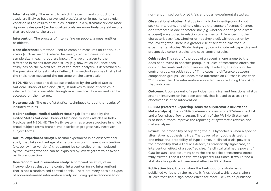**Internal validity:** The extent to which the design and conduct of a study are likely to have prevented bias. Variation in quality can explain variation in the results of studies included in a systematic review. More rigorously designed (better quality) trials are more likely to yield results that are closer to the truth.

**Intervention:** The process of intervening on people, groups, entities or objects.

**Mean difference:** A method used to combine measures on continuous scales (such as weight), where the mean, standard deviation and sample size in each group are known. The weight given to the difference in means from each study (e.g. how much influence each study has on the overall results of the meta-analysis) is determined by the precision of its estimate of effect. This method assumes that all of the trials have measured the outcome on the same scale.

**MEDLINE:** An electronic database produced by the United States National Library of Medicine (NLM). It indexes millions of articles in selected journals, available through most medical libraries, and can be accessed on the Internet.

**Meta-analysis:** The use of statistical techniques to pool the results of included studies.

**MeSH headings (Medical Subject Headings):** Terms used by the United States National Library of Medicine to index articles in Index Medicus and MEDLINE. The MeSH system has a tree structure in which broad subject terms branch into a series of progressively narrower subject terms.

**Natural experiment study:** A natural experiment is an observational study that takes advantage of a naturally occurring event or situation (e.g. policy interventions) that cannot be controlled or manipulated by the investigator and can be exploited by investigators to answer a particular question.

**Non-randomised intervention study:** A comparative study of an intervention against some control intervention (or no intervention) that is not a randomised controlled trial. There are many possible types of non-randomised intervention study, including quasi-randomised or

non-randomised controlled trials and quasi-experimental studies.

**Observational studies:** A study in which the investigators do not seek to intervene, and simply observe the course of events. Changes or differences in one characteristic (e.g. whether or not people were exposed) are studied in relation to changes or differences in other characteristic(s) (e.g. whether or not they died), without action by the investigator. There is a greater risk of selection bias than in experimental studies. Study designs typically include retrospective and prospective cohort studies and case-control studies.

**Odds ratio:** The ratio of the odds of an event in one group to the odds of an event in another group. In studies of treatment effect, the odds in the treatment group are usually divided by the odds in the control group. An odds ratio of '1' indicates no difference between comparison groups. For undesirable outcomes an OR that is less than '1' indicates that the intervention was effective in reducing the risk of that outcome.

**Outcome:** A component of a participant's clinical and functional status after an intervention has been applied, that is used to assess the effectiveness of an intervention.

#### **PRISMA (Preferred Reporting Items for a Systematic Review and**

**Meta-analysis):** The PRISMA Statement consists of a 27-item checklist and a four-phase flow diagram. The aim of the PRISMA Statement is to help authors improve the reporting of systematic reviews and meta-analyses.

**Power:** The probability of rejecting the null hypothesis when a specific alternative hypothesis is true. The power of a hypothesis test is one minus the probability of Type II error. In clinical trials, power is the probability that a trial will detect, as statistically significant, an intervention effect of a specified size. If a clinical trial had a power of 0.80 (or 80%), and assuming that the pre-specified treatment effect truly existed, then if the trial was repeated 100 times, it would find a statistically significant treatment effect in 80 of them.

**Publication bias:** Occurs when the likelihood of a study being published varies with the results it finds. Usually, this occurs when studies that find a significant effect are more likely to be published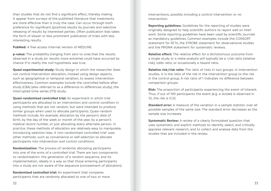than studies that do not find a significant effect, thereby making it appear from surveys of the published literature that treatments are more effective than is truly the case. Can occur through both preference for significant (positive) results by journals and selective releasing of results by interested parties. Often publication bias takes the form of slower or less prominent publication of trials with less interesting results.

**PubMed:** A free access Internet version of MEDLINE.

**p-value:** The probability (ranging from zero to one) that the results observed in a study (or results more extreme) could have occurred by chance if in reality the null hypothesis was true.

**Quasi-experimental study:** Study design in which the researcher does not control intervention allocation, instead using design aspects, such as geographical or temporal variation, to assess intervention effectiveness. Common examples include the controlled before-after study (CBA) (also referred to as a difference-in-differences study), the interrupted time-series (ITS) study.

**Quasi-randomised controlled trial:** An experiment in which trial participants are allocated to an intervention and control condition in using methods that are not random, but were intended to produce similar groups when used to allocate participants. Quasi-random methods include, for example, allocation by the person's date of birth, by the day of the week or month of the year, by a person's medical record number, or just allocating every alternate person. In practice, these methods of allocation are relatively easy to manipulate, introducing selection bias. A 'non-randomised controlled trial' uses other methods, such as convenience or self-selection to allocate participants into intervention and control conditions.

**Randomisation:** The process of randomly allocating participants into one of the arms of a controlled trial. There are two components to randomisation: the generation of a random sequence, and its implementation, ideally in a way so that those entering participants into a study are not aware of the sequence (concealment of allocation).

**Randomised controlled trial:** An experiment that compares participants that are randomly allocated to one of two or more interventions, possibly including a control intervention or no intervention.

**Reporting guidelines:** Guidelines for the reporting of studies were originally designed to help scientific authors to report well on their work. Some reporting guidelines have been used by scientific journals as mandatory guidelines. Common examples include the CONSORT statement for RCTs, the STROBE statement for observational studies and the PRISMA statement for systematic reviews.

**Relative effect:** The relative effect for a dichotomous outcome from a single study or a meta-analysis will typically be a \risk ratio (relative risk), odds ratio, or occasionally a hazard ratio.

**Relative risk/risk ratio:** The ratio of risks in two groups. In intervention studies, it is the ratio of the risk in the intervention group to the risk in the control group. A risk ratio of 1 indicates no difference between comparison groups.

**Risk:** The proportion of participants experiencing the event of interest. Thus, if out of 100 participants the event (e.g. a stroke) is observed in 32, the risk is 0.32.

**Standard error:** A measure of the variation in a sample statistic over all possible samples of the same size. The standard error decreases as the sample size increases.

**Systematic Review:** A review of a clearly formulated question that uses systematic and explicit methods to identify, select, and critically appraise relevant research, and to collect and analyse data from the studies that are included in the review.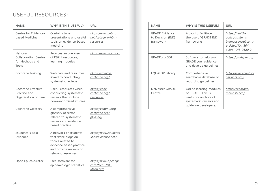### Useful resources:

| <b>NAME</b>                                                         | WHY IS THIS USEFUL?                                                                                                                           | URL                                                |
|---------------------------------------------------------------------|-----------------------------------------------------------------------------------------------------------------------------------------------|----------------------------------------------------|
| Centre for Evidence-<br>based Medicine                              | Contains talks,<br>presentations and useful<br>tools on evidence-based<br>medicine                                                            | https:/www.cebm.<br>net/category/ebm-<br>resources |
| National<br><b>Collaborating Centre</b><br>for Methods and<br>Tools | Provides an overview<br>of EBPH, resources,<br>learning modules                                                                               | https:/www.nccmt.ca                                |
| Cochrane Training                                                   | Webinars and resources<br>linked to conducting<br>systematic reviews                                                                          | https:/training.<br>cochrane.org/                  |
| Cochrane Effective<br>Practice and<br>Organisation of Care          | Useful resources when<br>conducting systematic<br>reviews that include<br>non-randomised studies                                              | https:/epoc.<br>cochrane.org/<br>resources         |
| Cochrane Glossary                                                   | A comprehensive<br>glossary of terms<br>related to systematic<br>reviews and evidence<br>based practice                                       | https:/community.<br>cochrane.org/<br>glossary     |
| Students 4 Best<br>Evidence                                         | A network of students<br>that write blogs on<br>topics related to<br>evidence based practice,<br>and provide reviews on<br>relevant resources | https:/www.students<br>4bestevidence.net/          |
| Open Epi calculator                                                 | Free software for<br>epidemiologic statistics                                                                                                 | https:/www.openepi.<br>com/Menu/OE<br>Menu.htm     |

| <b>NAME</b>                                             | WHY IS THIS USEFUL?                                                                                                      | URL                                                                                                             |
|---------------------------------------------------------|--------------------------------------------------------------------------------------------------------------------------|-----------------------------------------------------------------------------------------------------------------|
| <b>GRADE Evidence</b><br>to Decision (EtD)<br>framework | A tool to facilitate<br>the use of GRADE EtD<br>frameworks                                                               | <u>https:/health-</u><br>policy-systems.<br>biomedcentral.com/<br><u>articles/10.1186/</u><br>s12961-018-0320-2 |
| <b>GRADEpro GDT</b>                                     | Software to help you<br>GRADE your evidence<br>and develop quidelines                                                    | https:/gradepro.org                                                                                             |
| <b>EQUATOR Library</b>                                  | Comprehensive<br>searchable database of<br>reporting guidelines                                                          | http:/www.equator-<br>network.org/                                                                              |
| McMaster GRADE<br>Centre                                | Online learning modules<br>on GRADE. This is<br>useful for authors of<br>systematic reviews and<br>quideline developers. | https:/cebgrade.<br>mcmaster.ca/                                                                                |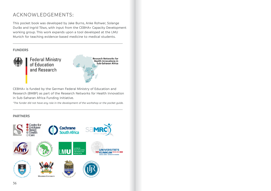### ACKNOWLEDGEMENTS:

This pocket book was developed by Jake Burns, Anke Rohwer, Solange Durão and Ingrid Töws, with input from the CEBHA+ Capacity Development working group. This work expands upon a tool developed at the LMU Munich for teaching evidence-based medicine to medical students.

### **FUNDERS**



**Federal Ministry**<br>of Education and Research

**Research Networks for** Health Innovations in Sub-Saharan Africa

CEBHA+ is funded by the German Federal Ministry of Education and Research (BMBF) as part of the Research Networks for Health Innovation in Sub-Saharan Africa Funding Initiative.

*\*The funder did not have any role in the development of the workshop or the pocket guide.*

### **PARTNERS**